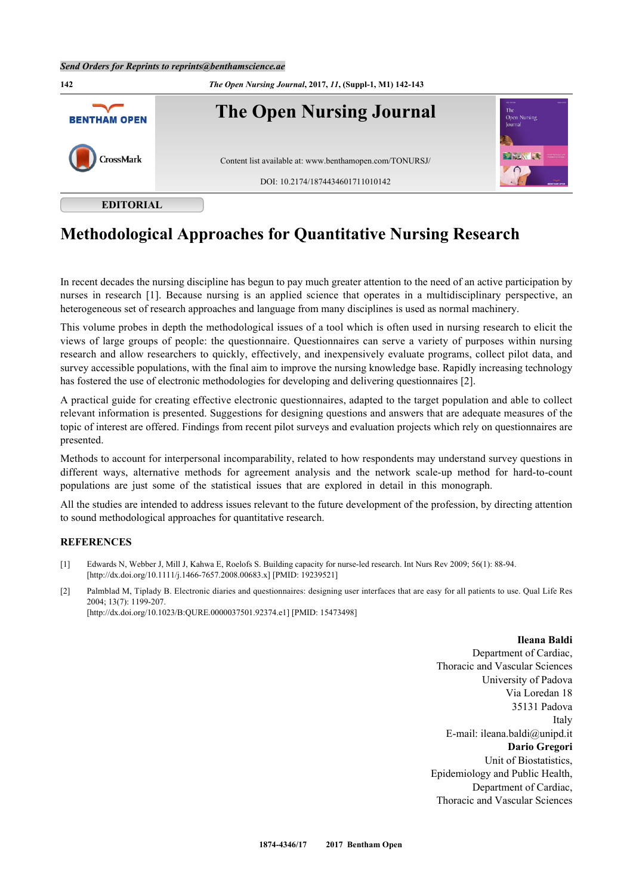## *Send Orders for Reprints to reprints@benthamscience.ae*



## **Methodological Approaches for Quantitative Nursing Research**

In recent decades the nursing discipline has begun to pay much greater attention to the need of an active participation by nurses in research[[1\]](#page-0-0). Because nursing is an applied science that operates in a multidisciplinary perspective, an heterogeneous set of research approaches and language from many disciplines is used as normal machinery.

This volume probes in depth the methodological issues of a tool which is often used in nursing research to elicit the views of large groups of people: the questionnaire. Questionnaires can serve a variety of purposes within nursing research and allow researchers to quickly, effectively, and inexpensively evaluate programs, collect pilot data, and survey accessible populations, with the final aim to improve the nursing knowledge base. Rapidly increasing technology has fostered the use of electronic methodologies for developing and delivering questionnaires [[2\]](#page-0-1).

A practical guide for creating effective electronic questionnaires, adapted to the target population and able to collect relevant information is presented. Suggestions for designing questions and answers that are adequate measures of the topic of interest are offered. Findings from recent pilot surveys and evaluation projects which rely on questionnaires are presented.

Methods to account for interpersonal incomparability, related to how respondents may understand survey questions in different ways, alternative methods for agreement analysis and the network scale-up method for hard-to-count populations are just some of the statistical issues that are explored in detail in this monograph.

All the studies are intended to address issues relevant to the future development of the profession, by directing attention to sound methodological approaches for quantitative research.

## **REFERENCES**

- <span id="page-0-0"></span>[1] Edwards N, Webber J, Mill J, Kahwa E, Roelofs S. Building capacity for nurse-led research. Int Nurs Rev 2009; 56(1): 88-94. [\[http://dx.doi.org/10.1111/j.1466-7657.2008.00683.x\]](http://dx.doi.org/10.1111/j.1466-7657.2008.00683.x) [PMID: [19239521](http://www.ncbi.nlm.nih.gov/pubmed/19239521)]
- <span id="page-0-1"></span>[2] Palmblad M, Tiplady B. Electronic diaries and questionnaires: designing user interfaces that are easy for all patients to use. Qual Life Res 2004; 13(7): 1199-207. [\[http://dx.doi.org/10.1023/B:QURE.0000037501.92374.e1\]](http://dx.doi.org/10.1023/B:QURE.0000037501.92374.e1) [PMID: [15473498](http://www.ncbi.nlm.nih.gov/pubmed/15473498)]

## **Ileana Baldi**

Department of Cardiac, Thoracic and Vascular Sciences University of Padova Via Loredan 18 35131 Padova Italy E-mail: ileana.baldi@unipd.it **Dario Gregori** Unit of Biostatistics, Epidemiology and Public Health, Department of Cardiac, Thoracic and Vascular Sciences